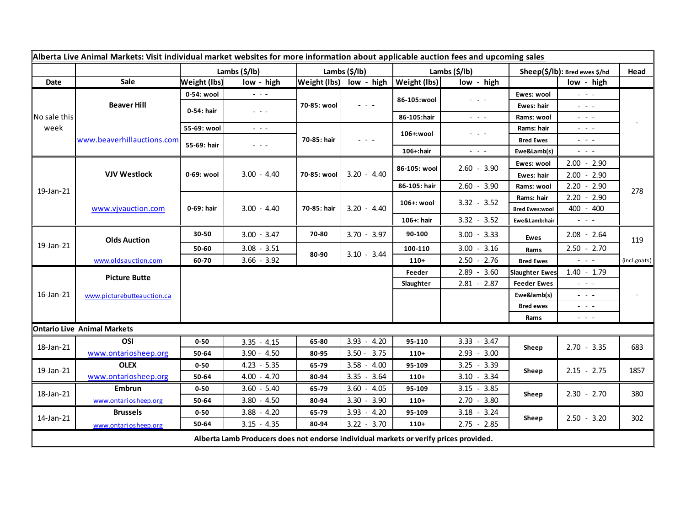| Alberta Live Animal Markets: Visit individual market websites for more information about applicable auction fees and upcoming sales |                                           |                           |                                                                                                                        |                            |                                                                                                                           |                                  |                                                                                                                           |                               |                                                                                                                           |              |
|-------------------------------------------------------------------------------------------------------------------------------------|-------------------------------------------|---------------------------|------------------------------------------------------------------------------------------------------------------------|----------------------------|---------------------------------------------------------------------------------------------------------------------------|----------------------------------|---------------------------------------------------------------------------------------------------------------------------|-------------------------------|---------------------------------------------------------------------------------------------------------------------------|--------------|
|                                                                                                                                     |                                           | Lambs $(\frac{2}{3})$ lb) |                                                                                                                        | Lambs $(\frac{2}{3})$ lb)  |                                                                                                                           | Lambs $(\frac{\xi}{\mathbf{b}})$ |                                                                                                                           | Sheep(\$/lb): Bred ewes \$/hd |                                                                                                                           | Head         |
| Date                                                                                                                                | Sale                                      | <b>Weight (lbs)</b>       | low - high                                                                                                             |                            | $ \mathsf{Weight}\left(\mathsf{Ibs}\right) $ low - high                                                                   | <b>Weight (lbs)</b>              | low - high                                                                                                                |                               | low - high                                                                                                                |              |
| No sale this<br>week                                                                                                                | <b>Beaver Hill</b>                        | 0-54: wool                | $\sim$ $\sim$ $\sim$                                                                                                   | 70-85: wool                | $\frac{1}{2} \left( \frac{1}{2} \right) \left( \frac{1}{2} \right) \left( \frac{1}{2} \right) \left( \frac{1}{2} \right)$ | 86-105:wool                      | $\frac{1}{2} \left( \frac{1}{2} \right) \left( \frac{1}{2} \right) \left( \frac{1}{2} \right) \left( \frac{1}{2} \right)$ | Ewes: wool                    | $\omega_{\rm{c}}$ , $\omega_{\rm{c}}$ , $\omega_{\rm{c}}$                                                                 |              |
|                                                                                                                                     |                                           | 0-54: hair                | $\omega_{\rm c}$ , $\omega_{\rm c}$                                                                                    |                            |                                                                                                                           |                                  |                                                                                                                           | Ewes: hair                    | 20 A G                                                                                                                    |              |
|                                                                                                                                     |                                           |                           |                                                                                                                        |                            |                                                                                                                           | 86-105:hair                      | $\frac{1}{2} \left( \frac{1}{2} \right) \frac{1}{2} \left( \frac{1}{2} \right) \frac{1}{2} \left( \frac{1}{2} \right)$    | Rams: wool                    | $  -$                                                                                                                     |              |
|                                                                                                                                     | www.beaverhillauctions.com                | 55-69: wool               | $\frac{1}{2} \left( \frac{1}{2} \right) \frac{1}{2} \left( \frac{1}{2} \right) \frac{1}{2} \left( \frac{1}{2} \right)$ | 70-85: hair                | $  -$                                                                                                                     | 106+:wool                        | $\frac{1}{2} \left( \frac{1}{2} \right) \left( \frac{1}{2} \right) \left( \frac{1}{2} \right) \left( \frac{1}{2} \right)$ | Rams: hair                    | $  -$                                                                                                                     |              |
|                                                                                                                                     |                                           | 55-69: hair               | $- - -$                                                                                                                |                            |                                                                                                                           |                                  |                                                                                                                           | <b>Bred Ewes</b>              | $  -$                                                                                                                     |              |
|                                                                                                                                     |                                           |                           |                                                                                                                        |                            |                                                                                                                           | 106+:hair                        | $ -$                                                                                                                      | Ewe&Lamb(s)                   | - - -                                                                                                                     |              |
| 19-Jan-21                                                                                                                           | <b>VJV Westlock</b><br>www.vjvauction.com | 0-69: wool<br>0-69: hair  | $3.00 - 4.40$<br>$3.00 - 4.40$                                                                                         | 70-85: wool<br>70-85: hair | $3.20 - 4.40$<br>$3.20 - 4.40$                                                                                            | 86-105: wool                     | $2.60 - 3.90$                                                                                                             | Ewes: wool                    | $2.00 - 2.90$                                                                                                             | 278          |
|                                                                                                                                     |                                           |                           |                                                                                                                        |                            |                                                                                                                           |                                  |                                                                                                                           | Ewes: hair                    | $2.00 - 2.90$                                                                                                             |              |
|                                                                                                                                     |                                           |                           |                                                                                                                        |                            |                                                                                                                           | 86-105: hair                     | $2.60 - 3.90$                                                                                                             | Rams: wool                    | $2.20 - 2.90$                                                                                                             |              |
|                                                                                                                                     |                                           |                           |                                                                                                                        |                            |                                                                                                                           | 106+: wool                       | $3.32 - 3.52$                                                                                                             | Rams: hair                    | $2.20 - 2.90$                                                                                                             |              |
|                                                                                                                                     |                                           |                           |                                                                                                                        |                            |                                                                                                                           |                                  |                                                                                                                           | <b>Bred Ewes:wool</b>         | 400 - 400                                                                                                                 |              |
|                                                                                                                                     |                                           |                           |                                                                                                                        |                            |                                                                                                                           | 106+: hair                       | $3.32 - 3.52$                                                                                                             | Ewe&Lamb:hair                 | $\sim$ $\sim$ $\sim$                                                                                                      |              |
| 19-Jan-21                                                                                                                           | <b>Olds Auction</b>                       | 30-50                     | $3.00 - 3.47$                                                                                                          | 70-80                      | $3.70 - 3.97$                                                                                                             | 90-100                           | $3.00 - 3.33$                                                                                                             | Ewes                          | $2.08 - 2.64$                                                                                                             | 119          |
|                                                                                                                                     |                                           | 50-60                     | $3.08 - 3.51$                                                                                                          | 80-90                      | $3.10 - 3.44$                                                                                                             | 100-110                          | $3.00 - 3.16$                                                                                                             | Rams                          | $2.50 - 2.70$                                                                                                             |              |
|                                                                                                                                     | www.oldsauction.com                       | 60-70                     | $3.66 - 3.92$                                                                                                          |                            |                                                                                                                           | $110+$                           | $2.50 - 2.76$                                                                                                             | <b>Bred Ewes</b>              | $\sim$ $\sim$ $\sim$                                                                                                      | (incl.goats) |
| 16-Jan-21                                                                                                                           | <b>Picture Butte</b>                      |                           |                                                                                                                        |                            |                                                                                                                           | Feeder                           | $2.89 - 3.60$                                                                                                             | <b>Slaughter Ewes</b>         | $1.40 - 1.79$                                                                                                             |              |
|                                                                                                                                     | www.picturebutteauction.ca                |                           |                                                                                                                        |                            |                                                                                                                           | Slaughter                        | $2.81 - 2.87$                                                                                                             | <b>Feeder Ewes</b>            | $  -$                                                                                                                     |              |
|                                                                                                                                     |                                           |                           |                                                                                                                        |                            |                                                                                                                           |                                  |                                                                                                                           | Ewe&lamb(s)                   | - - -                                                                                                                     |              |
|                                                                                                                                     |                                           |                           |                                                                                                                        |                            |                                                                                                                           |                                  |                                                                                                                           | <b>Bred ewes</b>              | $  -$                                                                                                                     |              |
|                                                                                                                                     |                                           |                           |                                                                                                                        |                            |                                                                                                                           |                                  |                                                                                                                           | Rams                          | $\frac{1}{2} \left( \frac{1}{2} \right) \left( \frac{1}{2} \right) \left( \frac{1}{2} \right) \left( \frac{1}{2} \right)$ |              |
| <b>Ontario Live Animal Markets</b>                                                                                                  |                                           |                           |                                                                                                                        |                            |                                                                                                                           |                                  |                                                                                                                           |                               |                                                                                                                           |              |
| 18-Jan-21                                                                                                                           | OSI                                       | $0 - 50$                  | $3.35 - 4.15$                                                                                                          | 65-80                      | $3.93 - 4.20$                                                                                                             | 95-110                           | $3.33 - 3.47$                                                                                                             | Sheep                         | $2.70 - 3.35$<br>683                                                                                                      |              |
|                                                                                                                                     | www.ontariosheep.org                      | 50-64                     | $3.90 - 4.50$                                                                                                          | 80-95                      | $3.50 - 3.75$                                                                                                             | $110+$                           | $2.93 - 3.00$                                                                                                             |                               |                                                                                                                           |              |
| 19-Jan-21                                                                                                                           | <b>OLEX</b>                               | $0 - 50$                  | $4.23 - 5.35$                                                                                                          | 65-79                      | $3.58 - 4.00$                                                                                                             | 95-109                           | $3.25 - 3.39$                                                                                                             | Sheep                         | $2.15 - 2.75$<br>1857                                                                                                     |              |
|                                                                                                                                     | www.ontariosheep.org                      | 50-64                     | $4.00 - 4.70$                                                                                                          | 80-94                      | $3.35 - 3.64$                                                                                                             | $110+$                           | $3.10 - 3.34$                                                                                                             |                               |                                                                                                                           |              |
| 18-Jan-21                                                                                                                           | Embrun                                    | $0 - 50$                  | $3.60 - 5.40$                                                                                                          | 65-79                      | 3.60<br>$-4.05$                                                                                                           | 95-109                           | $3.15 - 3.85$                                                                                                             | Sheep                         | $2.30 - 2.70$                                                                                                             | 380          |
|                                                                                                                                     | www.ontariosheep.org                      | 50-64                     | $3.80 - 4.50$                                                                                                          | 80-94                      | $3.30 - 3.90$                                                                                                             | $110+$                           | $2.70 - 3.80$                                                                                                             |                               |                                                                                                                           |              |
| 14-Jan-21                                                                                                                           | <b>Brussels</b>                           | $0 - 50$                  | $3.88 - 4.20$                                                                                                          | 65-79                      | $3.93 - 4.20$                                                                                                             | 95-109                           | $3.18 - 3.24$                                                                                                             | Sheep                         | $2.50 - 3.20$                                                                                                             | 302          |
|                                                                                                                                     | www.ontariosheep.org                      | 50-64                     | $3.15 - 4.35$                                                                                                          | 80-94                      | $3.22 - 3.70$                                                                                                             | $110+$                           | $2.75 - 2.85$                                                                                                             |                               |                                                                                                                           |              |
| Alberta Lamb Producers does not endorse individual markets or verify prices provided.                                               |                                           |                           |                                                                                                                        |                            |                                                                                                                           |                                  |                                                                                                                           |                               |                                                                                                                           |              |